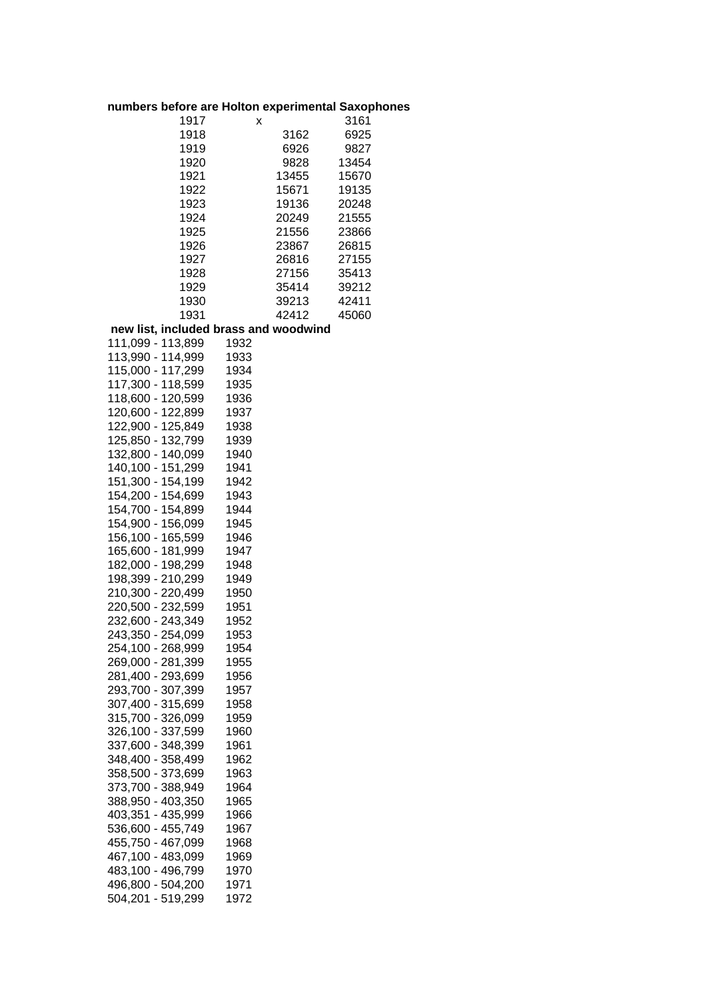## **numbers before are Holton experimental Saxophones**

| 1917 | x     | 3161  |
|------|-------|-------|
| 1918 | 3162  | 6925  |
| 1919 | 6926  | 9827  |
| 1920 | 9828  | 13454 |
| 1921 | 13455 | 15670 |
| 1922 | 15671 | 19135 |
| 1923 | 19136 | 20248 |
| 1924 | 20249 | 21555 |
| 1925 | 21556 | 23866 |
| 1926 | 23867 | 26815 |
| 1927 | 26816 | 27155 |
| 1928 | 27156 | 35413 |
| 1929 | 35414 | 39212 |
| 1930 | 39213 | 42411 |
| 1931 | 42412 | 45060 |
|      |       |       |

## **new list, included brass and woodwind**

| 111,099 - 113,899 | 1932 |
|-------------------|------|
| 113,990 - 114,999 | 1933 |
| 115,000 - 117,299 | 1934 |
| 117,300 - 118,599 | 1935 |
| 118,600 - 120,599 | 1936 |
| 120,600 - 122,899 | 1937 |
| 122,900 - 125,849 | 1938 |
| 125,850 - 132,799 | 1939 |
| 132,800 - 140,099 | 1940 |
| 140,100 - 151,299 | 1941 |
| 151,300 - 154,199 | 1942 |
| 154,200 - 154,699 | 1943 |
| 154,700 - 154,899 | 1944 |
| 154,900 - 156,099 | 1945 |
| 156,100 - 165,599 | 1946 |
| 165,600 - 181,999 | 1947 |
| 182,000 - 198,299 | 1948 |
| 198,399 - 210,299 | 1949 |
| 210,300 - 220,499 | 1950 |
| 220,500 - 232,599 | 1951 |
| 232,600 - 243,349 | 1952 |
| 243,350 - 254,099 | 1953 |
| 254,100 - 268,999 | 1954 |
| 269,000 - 281,399 | 1955 |
| 281,400 - 293,699 | 1956 |
| 293,700 - 307,399 | 1957 |
| 307,400 - 315,699 | 1958 |
| 315,700 - 326,099 | 1959 |
| 326,100 - 337,599 | 1960 |
| 337,600 - 348,399 | 1961 |
| 348,400 - 358,499 | 1962 |
| 358,500 - 373,699 | 1963 |
| 373,700 - 388,949 | 1964 |
| 388,950 - 403,350 | 1965 |
| 403,351 - 435,999 | 1966 |
| 536,600 - 455,749 | 1967 |
| 455,750 - 467,099 | 1968 |
| 467,100 - 483,099 | 1969 |
| 483,100 - 496,799 | 1970 |
| 496,800 - 504,200 | 1971 |
| 504,201 - 519,299 | 1972 |